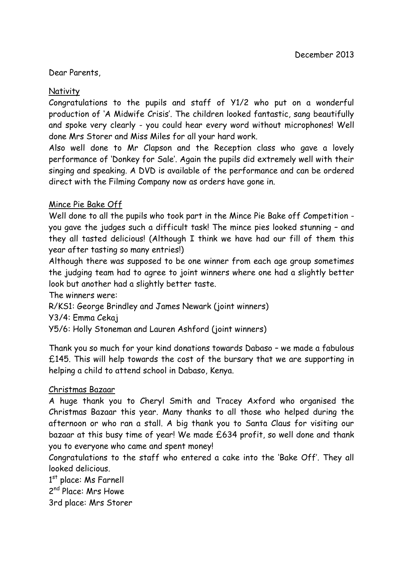#### Dear Parents,

### **Nativity**

Congratulations to the pupils and staff of Y1/2 who put on a wonderful production of 'A Midwife Crisis'. The children looked fantastic, sang beautifully and spoke very clearly - you could hear every word without microphones! Well done Mrs Storer and Miss Miles for all your hard work.

Also well done to Mr Clapson and the Reception class who gave a lovely performance of 'Donkey for Sale'. Again the pupils did extremely well with their singing and speaking. A DVD is available of the performance and can be ordered direct with the Filming Company now as orders have gone in.

### Mince Pie Bake Off

Well done to all the pupils who took part in the Mince Pie Bake off Competition you gave the judges such a difficult task! The mince pies looked stunning – and they all tasted delicious! (Although I think we have had our fill of them this year after tasting so many entries!)

Although there was supposed to be one winner from each age group sometimes the judging team had to agree to joint winners where one had a slightly better look but another had a slightly better taste.

The winners were:

R/KS1: George Brindley and James Newark (joint winners)

Y3/4: Emma Cekaj

Y5/6: Holly Stoneman and Lauren Ashford (joint winners)

Thank you so much for your kind donations towards Dabaso – we made a fabulous £145. This will help towards the cost of the bursary that we are supporting in helping a child to attend school in Dabaso, Kenya.

### Christmas Bazaar

A huge thank you to Cheryl Smith and Tracey Axford who organised the Christmas Bazaar this year. Many thanks to all those who helped during the afternoon or who ran a stall. A big thank you to Santa Claus for visiting our bazaar at this busy time of year! We made £634 profit, so well done and thank you to everyone who came and spent money!

Congratulations to the staff who entered a cake into the 'Bake Off'. They all looked delicious.

1<sup>st</sup> place: Ms Farnell

2<sup>nd</sup> Place: Mrs Howe

3rd place: Mrs Storer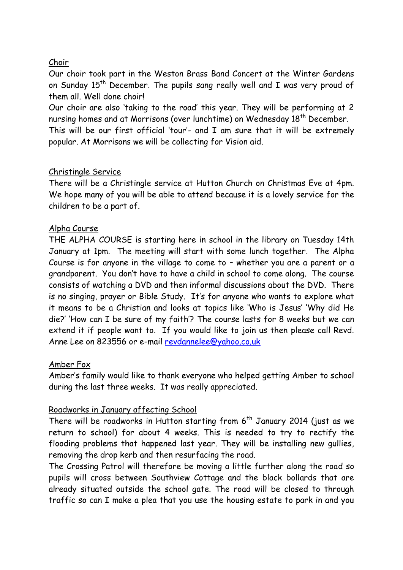## Choir

Our choir took part in the Weston Brass Band Concert at the Winter Gardens on Sunday  $15<sup>th</sup>$  December. The pupils sang really well and I was very proud of them all. Well done choir!

Our choir are also 'taking to the road' this year. They will be performing at 2 nursing homes and at Morrisons (over lunchtime) on Wednesday 18<sup>th</sup> December.

This will be our first official 'tour'- and I am sure that it will be extremely popular. At Morrisons we will be collecting for Vision aid.

## Christingle Service

There will be a Christingle service at Hutton Church on Christmas Eve at 4pm. We hope many of you will be able to attend because it is a lovely service for the children to be a part of.

## Alpha Course

THE ALPHA COURSE is starting here in school in the library on Tuesday 14th January at 1pm. The meeting will start with some lunch together. The Alpha Course is for anyone in the village to come to – whether you are a parent or a grandparent. You don't have to have a child in school to come along. The course consists of watching a DVD and then informal discussions about the DVD. There is no singing, prayer or Bible Study. It's for anyone who wants to explore what it means to be a Christian and looks at topics like 'Who is Jesus' 'Why did He die?' 'How can I be sure of my faith'? The course lasts for 8 weeks but we can extend it if people want to. If you would like to join us then please call Revd. Anne Lee on 823556 or e-mail [revdannelee@yahoo.co.uk](mailto:revdannelee@yahoo.co.uk)

### Amber Fox

Amber's family would like to thank everyone who helped getting Amber to school during the last three weeks. It was really appreciated.

# Roadworks in January affecting School

There will be roadworks in Hutton starting from  $6<sup>th</sup>$  January 2014 (just as we return to school) for about 4 weeks. This is needed to try to rectify the flooding problems that happened last year. They will be installing new gullies, removing the drop kerb and then resurfacing the road.

The Crossing Patrol will therefore be moving a little further along the road so pupils will cross between Southview Cottage and the black bollards that are already situated outside the school gate. The road will be closed to through traffic so can I make a plea that you use the housing estate to park in and you